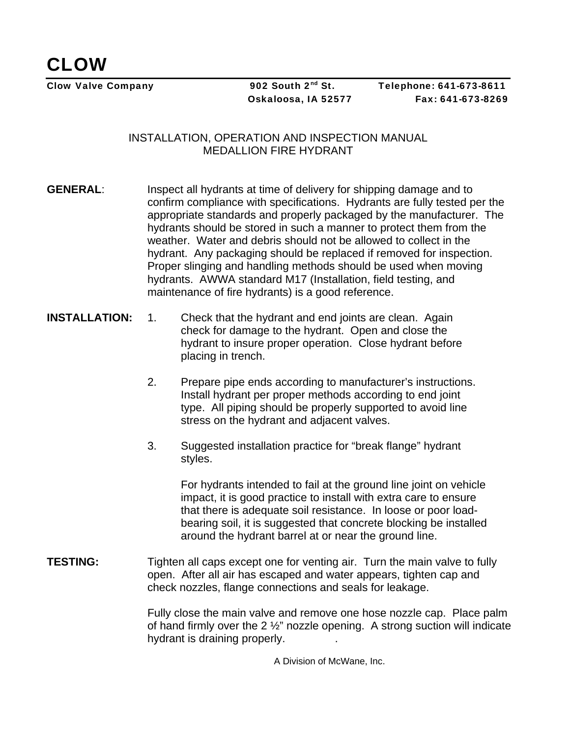Clow Valve Company 202 South 2<sup>nd</sup> St. Telephone: 641-673-8611 Oskaloosa, IA 52577 Fax: 641-673-8269

## INSTALLATION, OPERATION AND INSPECTION MANUAL MEDALLION FIRE HYDRANT

- **GENERAL:** Inspect all hydrants at time of delivery for shipping damage and to confirm compliance with specifications. Hydrants are fully tested per the appropriate standards and properly packaged by the manufacturer. The hydrants should be stored in such a manner to protect them from the weather. Water and debris should not be allowed to collect in the hydrant. Any packaging should be replaced if removed for inspection. Proper slinging and handling methods should be used when moving hydrants. AWWA standard M17 (Installation, field testing, and maintenance of fire hydrants) is a good reference.
- **INSTALLATION:** 1. Check that the hydrant and end joints are clean. Again check for damage to the hydrant. Open and close the hydrant to insure proper operation. Close hydrant before placing in trench.
	- 2. Prepare pipe ends according to manufacturer's instructions. Install hydrant per proper methods according to end joint type. All piping should be properly supported to avoid line stress on the hydrant and adjacent valves.
	- 3. Suggested installation practice for "break flange" hydrant styles.

For hydrants intended to fail at the ground line joint on vehicle impact, it is good practice to install with extra care to ensure that there is adequate soil resistance. In loose or poor loadbearing soil, it is suggested that concrete blocking be installed around the hydrant barrel at or near the ground line.

**TESTING:** Tighten all caps except one for venting air. Turn the main valve to fully open. After all air has escaped and water appears, tighten cap and check nozzles, flange connections and seals for leakage.

> Fully close the main valve and remove one hose nozzle cap. Place palm of hand firmly over the 2 ½" nozzle opening. A strong suction will indicate hydrant is draining properly. .

> > A Division of McWane, Inc.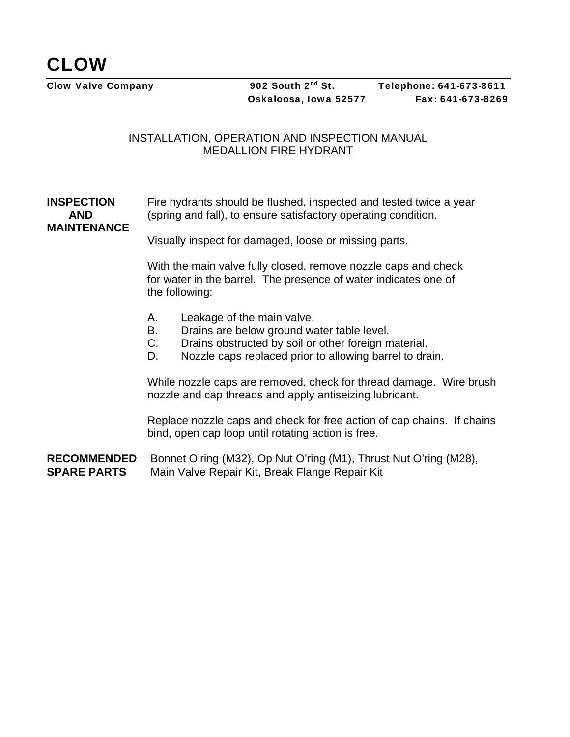## INSTALLATION, OPERATION AND INSPECTION MANUAL MEDALLION FIRE HYDRANT

**INSPECTION** Fire hydrants should be flushed, inspected and tested twice a year **AND** (spring and fall), to ensure satisfactory operating condition. **MAINTENANCE** 

Visually inspect for damaged, loose or missing parts.

 With the main valve fully closed, remove nozzle caps and check for water in the barrel. The presence of water indicates one of the following:

- A. Leakage of the main valve.
- B. Drains are below ground water table level.
- C. Drains obstructed by soil or other foreign material.
- D. Nozzle caps replaced prior to allowing barrel to drain.

While nozzle caps are removed, check for thread damage. Wire brush nozzle and cap threads and apply antiseizing lubricant.

Replace nozzle caps and check for free action of cap chains. If chains bind, open cap loop until rotating action is free.

**RECOMMENDED** Bonnet O'ring (M32), Op Nut O'ring (M1), Thrust Nut O'ring (M28), **SPARE PARTS** Main Valve Repair Kit, Break Flange Repair Kit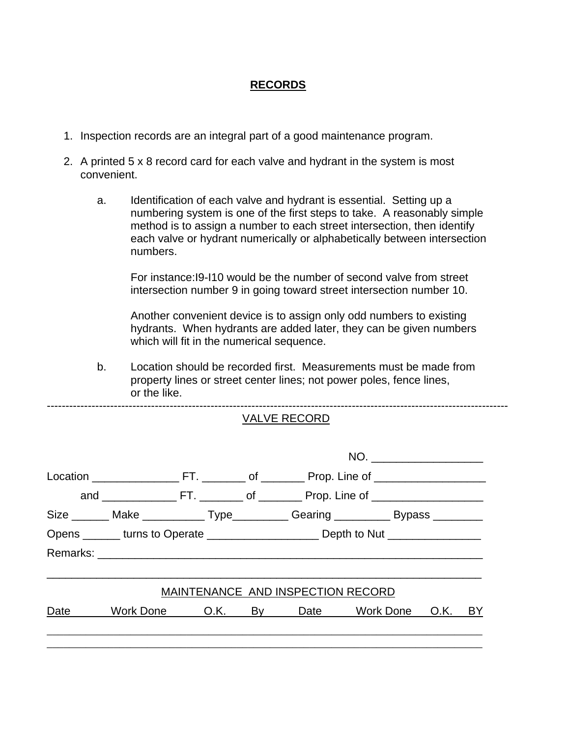## **RECORDS**

- 1. Inspection records are an integral part of a good maintenance program.
- 2. A printed 5 x 8 record card for each valve and hydrant in the system is most convenient.
	- a. Identification of each valve and hydrant is essential. Setting up a numbering system is one of the first steps to take. A reasonably simple method is to assign a number to each street intersection, then identify each valve or hydrant numerically or alphabetically between intersection numbers.

 For instance:I9-I10 would be the number of second valve from street intersection number 9 in going toward street intersection number 10.

 Another convenient device is to assign only odd numbers to existing hydrants. When hydrants are added later, they can be given numbers which will fit in the numerical sequence.

b. Location should be recorded first. Measurements must be made from property lines or street center lines; not power poles, fence lines, or the like.

----------------------------------------------------------------------------------------------------------------------------

|             | <b>VALVE RECORD</b> |  |                                                                                         |                                   |                                                                               |  |  |  |
|-------------|---------------------|--|-----------------------------------------------------------------------------------------|-----------------------------------|-------------------------------------------------------------------------------|--|--|--|
|             | NO.                 |  |                                                                                         |                                   |                                                                               |  |  |  |
|             |                     |  |                                                                                         |                                   |                                                                               |  |  |  |
|             |                     |  |                                                                                         |                                   |                                                                               |  |  |  |
|             |                     |  |                                                                                         |                                   | Size _______ Make ___________ Type_________ Gearing _________ Bypass ________ |  |  |  |
|             |                     |  | Opens _______ turns to Operate __________________________ Depth to Nut ________________ |                                   |                                                                               |  |  |  |
|             |                     |  |                                                                                         |                                   |                                                                               |  |  |  |
|             |                     |  |                                                                                         | MAINTENANCE AND INSPECTION RECORD |                                                                               |  |  |  |
| Date $\_\_$ |                     |  |                                                                                         |                                   | Work Done O.K. By Date Work Done O.K. BY                                      |  |  |  |
|             |                     |  |                                                                                         |                                   |                                                                               |  |  |  |
|             |                     |  |                                                                                         |                                   |                                                                               |  |  |  |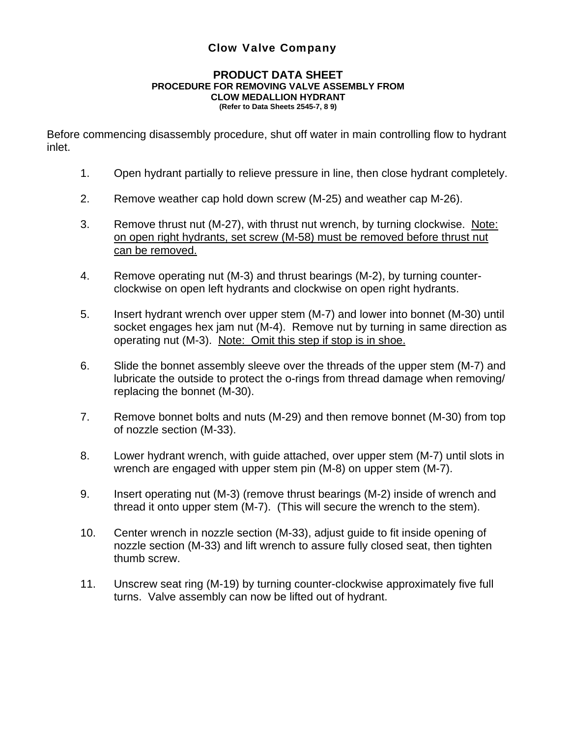## Clow Valve Company

#### **PRODUCT DATA SHEET PROCEDURE FOR REMOVING VALVE ASSEMBLY FROM CLOW MEDALLION HYDRANT (Refer to Data Sheets 2545-7, 8 9)**

Before commencing disassembly procedure, shut off water in main controlling flow to hydrant inlet.

- 1. Open hydrant partially to relieve pressure in line, then close hydrant completely.
- 2. Remove weather cap hold down screw (M-25) and weather cap M-26).
- 3. Remove thrust nut (M-27), with thrust nut wrench, by turning clockwise. Note: on open right hydrants, set screw (M-58) must be removed before thrust nut can be removed.
- 4. Remove operating nut (M-3) and thrust bearings (M-2), by turning counterclockwise on open left hydrants and clockwise on open right hydrants.
- 5. Insert hydrant wrench over upper stem (M-7) and lower into bonnet (M-30) until socket engages hex jam nut (M-4). Remove nut by turning in same direction as operating nut (M-3). Note: Omit this step if stop is in shoe.
- 6. Slide the bonnet assembly sleeve over the threads of the upper stem (M-7) and lubricate the outside to protect the o-rings from thread damage when removing/ replacing the bonnet (M-30).
- 7. Remove bonnet bolts and nuts (M-29) and then remove bonnet (M-30) from top of nozzle section (M-33).
- 8. Lower hydrant wrench, with guide attached, over upper stem (M-7) until slots in wrench are engaged with upper stem pin (M-8) on upper stem (M-7).
- 9. Insert operating nut (M-3) (remove thrust bearings (M-2) inside of wrench and thread it onto upper stem (M-7). (This will secure the wrench to the stem).
- 10. Center wrench in nozzle section (M-33), adjust guide to fit inside opening of nozzle section (M-33) and lift wrench to assure fully closed seat, then tighten thumb screw.
- 11. Unscrew seat ring (M-19) by turning counter-clockwise approximately five full turns. Valve assembly can now be lifted out of hydrant.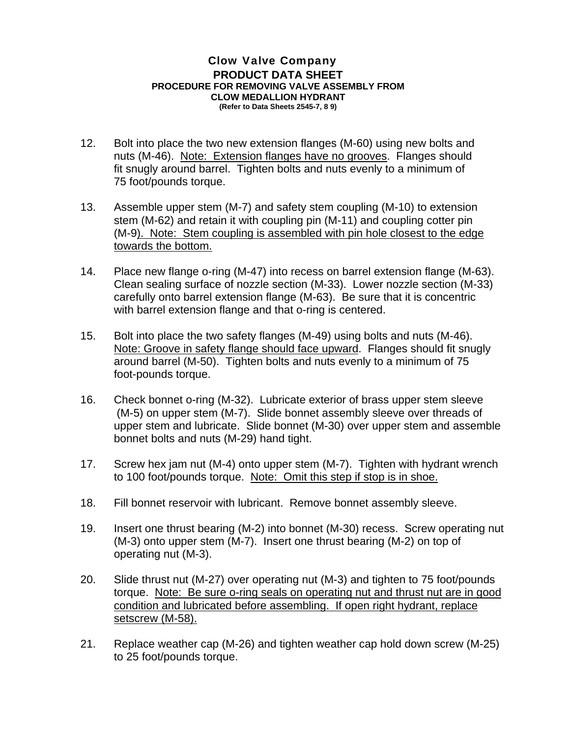#### Clow Valve Company **PRODUCT DATA SHEET PROCEDURE FOR REMOVING VALVE ASSEMBLY FROM CLOW MEDALLION HYDRANT (Refer to Data Sheets 2545-7, 8 9)**

12. Bolt into place the two new extension flanges (M-60) using new bolts and nuts (M-46). Note: Extension flanges have no grooves. Flanges should fit snugly around barrel. Tighten bolts and nuts evenly to a minimum of 75 foot/pounds torque.

- 13. Assemble upper stem (M-7) and safety stem coupling (M-10) to extension stem (M-62) and retain it with coupling pin (M-11) and coupling cotter pin (M-9). Note: Stem coupling is assembled with pin hole closest to the edge towards the bottom.
- 14. Place new flange o-ring (M-47) into recess on barrel extension flange (M-63). Clean sealing surface of nozzle section (M-33). Lower nozzle section (M-33) carefully onto barrel extension flange (M-63). Be sure that it is concentric with barrel extension flange and that o-ring is centered.
- 15. Bolt into place the two safety flanges (M-49) using bolts and nuts (M-46). Note: Groove in safety flange should face upward. Flanges should fit snugly around barrel (M-50). Tighten bolts and nuts evenly to a minimum of 75 foot-pounds torque.
- 16. Check bonnet o-ring (M-32). Lubricate exterior of brass upper stem sleeve (M-5) on upper stem (M-7). Slide bonnet assembly sleeve over threads of upper stem and lubricate. Slide bonnet (M-30) over upper stem and assemble bonnet bolts and nuts (M-29) hand tight.
- 17. Screw hex jam nut (M-4) onto upper stem (M-7). Tighten with hydrant wrench to 100 foot/pounds torque. Note: Omit this step if stop is in shoe.
- 18. Fill bonnet reservoir with lubricant. Remove bonnet assembly sleeve.
- 19. Insert one thrust bearing (M-2) into bonnet (M-30) recess. Screw operating nut (M-3) onto upper stem (M-7). Insert one thrust bearing (M-2) on top of operating nut (M-3).
- 20. Slide thrust nut (M-27) over operating nut (M-3) and tighten to 75 foot/pounds torque. Note: Be sure o-ring seals on operating nut and thrust nut are in good condition and lubricated before assembling. If open right hydrant, replace setscrew (M-58).
- 21. Replace weather cap (M-26) and tighten weather cap hold down screw (M-25) to 25 foot/pounds torque.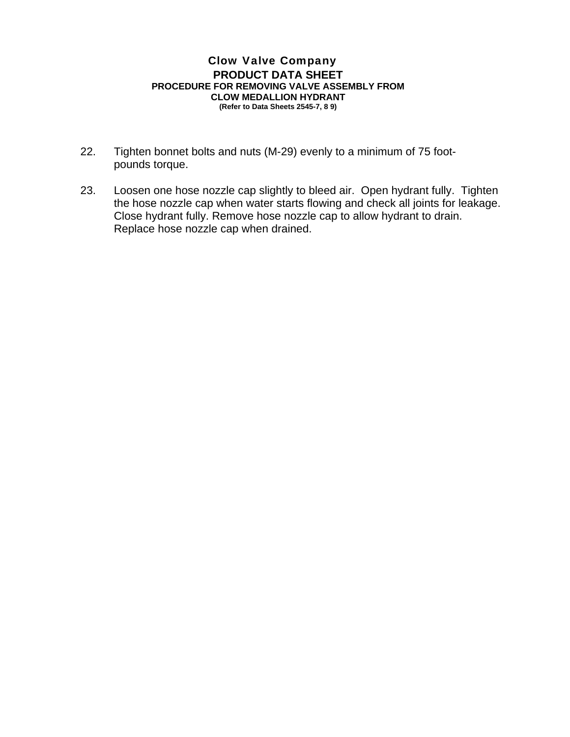#### Clow Valve Company **PRODUCT DATA SHEET PROCEDURE FOR REMOVING VALVE ASSEMBLY FROM CLOW MEDALLION HYDRANT (Refer to Data Sheets 2545-7, 8 9)**

22. Tighten bonnet bolts and nuts (M-29) evenly to a minimum of 75 footpounds torque.

23. Loosen one hose nozzle cap slightly to bleed air. Open hydrant fully. Tighten the hose nozzle cap when water starts flowing and check all joints for leakage. Close hydrant fully. Remove hose nozzle cap to allow hydrant to drain. Replace hose nozzle cap when drained.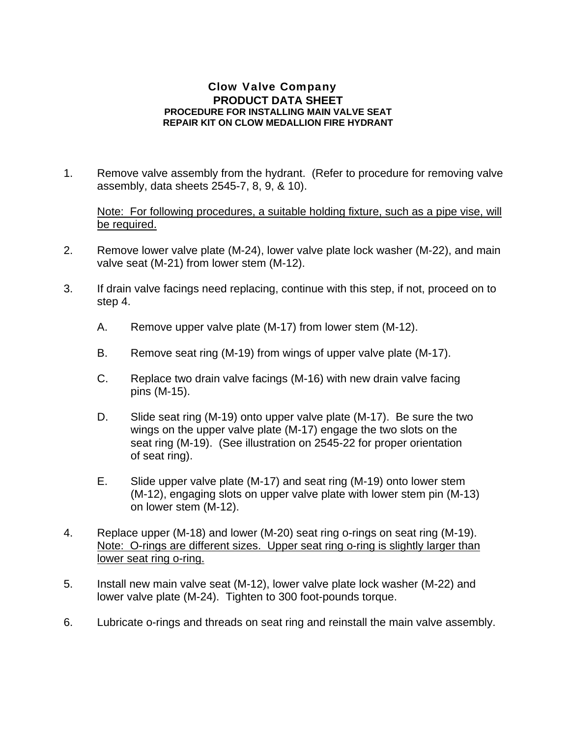### Clow Valve Company **PRODUCT DATA SHEET PROCEDURE FOR INSTALLING MAIN VALVE SEAT REPAIR KIT ON CLOW MEDALLION FIRE HYDRANT**

1. Remove valve assembly from the hydrant. (Refer to procedure for removing valve assembly, data sheets 2545-7, 8, 9, & 10).

Note: For following procedures, a suitable holding fixture, such as a pipe vise, will be required.

- 2. Remove lower valve plate (M-24), lower valve plate lock washer (M-22), and main valve seat (M-21) from lower stem (M-12).
- 3. If drain valve facings need replacing, continue with this step, if not, proceed on to step 4.
	- A. Remove upper valve plate (M-17) from lower stem (M-12).
	- B. Remove seat ring (M-19) from wings of upper valve plate (M-17).
	- C. Replace two drain valve facings (M-16) with new drain valve facing pins (M-15).
	- D. Slide seat ring (M-19) onto upper valve plate (M-17). Be sure the two wings on the upper valve plate (M-17) engage the two slots on the seat ring (M-19). (See illustration on 2545-22 for proper orientation of seat ring).
	- E. Slide upper valve plate (M-17) and seat ring (M-19) onto lower stem (M-12), engaging slots on upper valve plate with lower stem pin (M-13) on lower stem (M-12).
- 4. Replace upper (M-18) and lower (M-20) seat ring o-rings on seat ring (M-19). Note: O-rings are different sizes. Upper seat ring o-ring is slightly larger than lower seat ring o-ring.
- 5. Install new main valve seat (M-12), lower valve plate lock washer (M-22) and lower valve plate (M-24). Tighten to 300 foot-pounds torque.
- 6. Lubricate o-rings and threads on seat ring and reinstall the main valve assembly.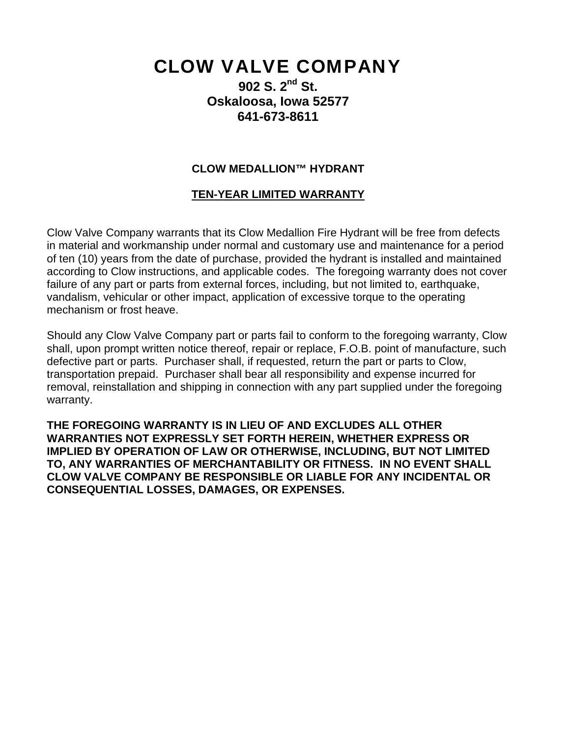# CLOW VALVE COMPANY

**902 S. 2nd St. Oskaloosa, Iowa 52577 641-673-8611** 

## **CLOW MEDALLION™ HYDRANT**

## **TEN-YEAR LIMITED WARRANTY**

Clow Valve Company warrants that its Clow Medallion Fire Hydrant will be free from defects in material and workmanship under normal and customary use and maintenance for a period of ten (10) years from the date of purchase, provided the hydrant is installed and maintained according to Clow instructions, and applicable codes. The foregoing warranty does not cover failure of any part or parts from external forces, including, but not limited to, earthquake, vandalism, vehicular or other impact, application of excessive torque to the operating mechanism or frost heave.

Should any Clow Valve Company part or parts fail to conform to the foregoing warranty, Clow shall, upon prompt written notice thereof, repair or replace, F.O.B. point of manufacture, such defective part or parts. Purchaser shall, if requested, return the part or parts to Clow, transportation prepaid. Purchaser shall bear all responsibility and expense incurred for removal, reinstallation and shipping in connection with any part supplied under the foregoing warranty.

**THE FOREGOING WARRANTY IS IN LIEU OF AND EXCLUDES ALL OTHER WARRANTIES NOT EXPRESSLY SET FORTH HEREIN, WHETHER EXPRESS OR IMPLIED BY OPERATION OF LAW OR OTHERWISE, INCLUDING, BUT NOT LIMITED TO, ANY WARRANTIES OF MERCHANTABILITY OR FITNESS. IN NO EVENT SHALL CLOW VALVE COMPANY BE RESPONSIBLE OR LIABLE FOR ANY INCIDENTAL OR CONSEQUENTIAL LOSSES, DAMAGES, OR EXPENSES.**